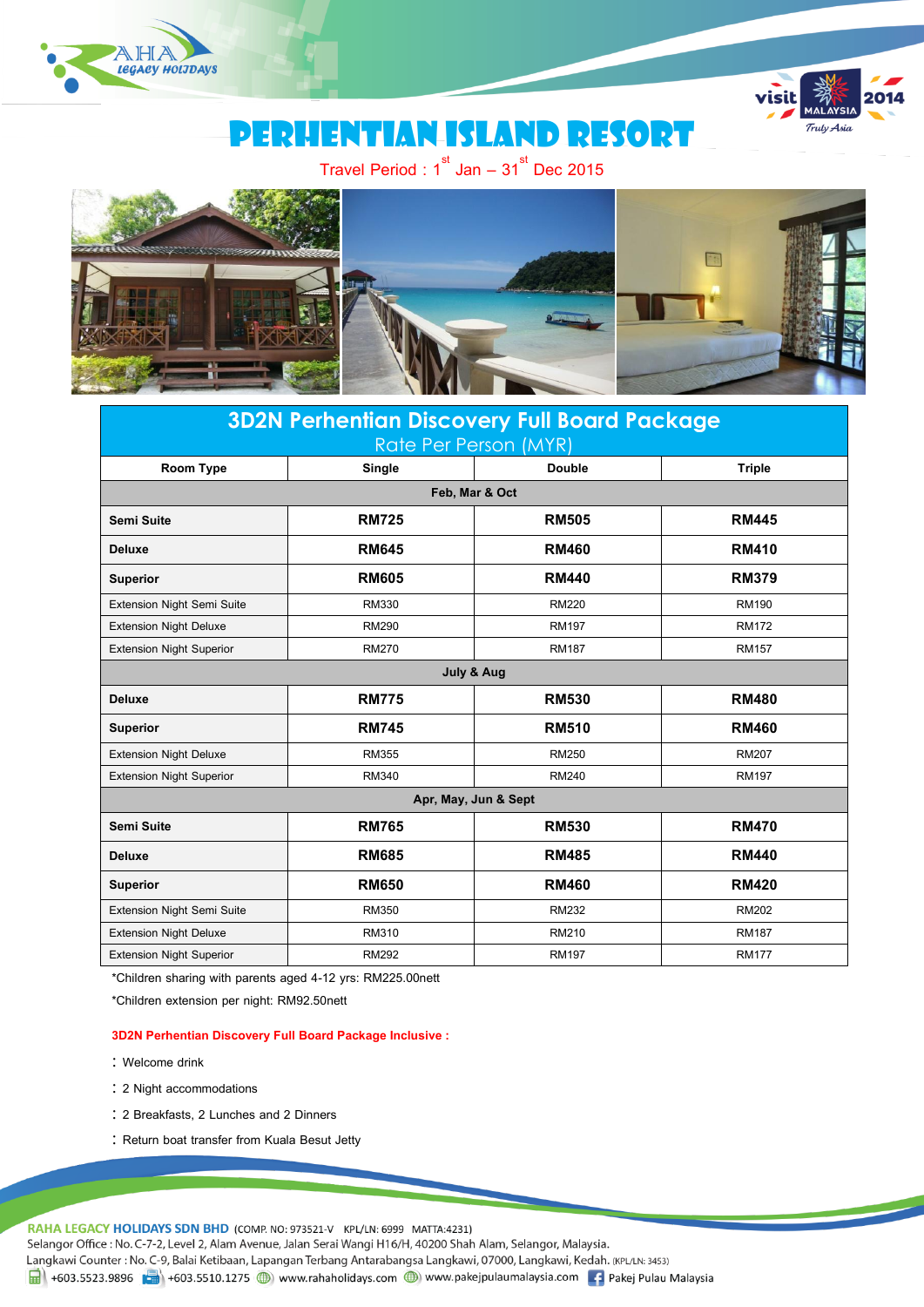



# Perhentian island resort

Travel Period : 1 $^{\rm st}$  Jan – 31 $^{\rm st}$  Dec 2015



## **3D2N Perhentian Discovery Full Board Package** Rate Per Person (MYR) **Room Type Single Double Triple Feb, Mar & Oct Semi Suite RM725 RM505 RM445 Deluxe RM645 RM460 RM410 Superior RM605 RM440 RM379** Extension Night Semi Suite RM330 RM220 RM190 Extension Night Deluxe **RM290** RM290 RM197 RM197 RM172 Extension Night Superior **RM270** RM270 RM187 RM187 RM157 **July & Aug Deluxe RM775 RM530 RM480 Superior RM745 RM510 RM460** Extension Night Deluxe RM355 RM250 RM207 Extension Night Superior RM340 RM240 RM197 Apr, May, Jun & Sept **Semi Suite RM765 RM530 RM470 Deluxe RM685 RM485 RM440 Superior RM650 RM460 RM420** Extension Night Semi Suite RM350 RM232 RM202 Extension Night Deluxe **RM310** RM310 RM210 RM210 RM187 Extension Night Superior **RM292** RM292 RM197 RM197 RM177

\*Children sharing with parents aged 4-12 yrs: RM225.00nett

\*Children extension per night: RM92.50nett

#### **3D2N Perhentian Discovery Full Board Package Inclusive :**

- : Welcome drink
- 2 Night accommodations
- 2 Breakfasts, 2 Lunches and 2 Dinners
- : Return boat transfer from Kuala Besut Jetty

RAHA LEGACY HOLIDAYS SDN BHD (COMP. NO: 973521-V KPL/LN: 6999 MATTA:4231)

Selangor Office : No. C-7-2, Level 2, Alam Avenue, Jalan Serai Wangi H16/H, 40200 Shah Alam, Selangor, Malaysia.

Langkawi Counter: No. C-9, Balai Ketibaan, Lapangan Terbang Antarabangsa Langkawi, 07000, Langkawi, Kedah. (KPL/LN: 3453)

1 +603.5523.9896 + +603.5510.1275 (b) www.rahaholidays.com (b) www.pakejpulaumalaysia.com (f) Pakej Pulau Malaysia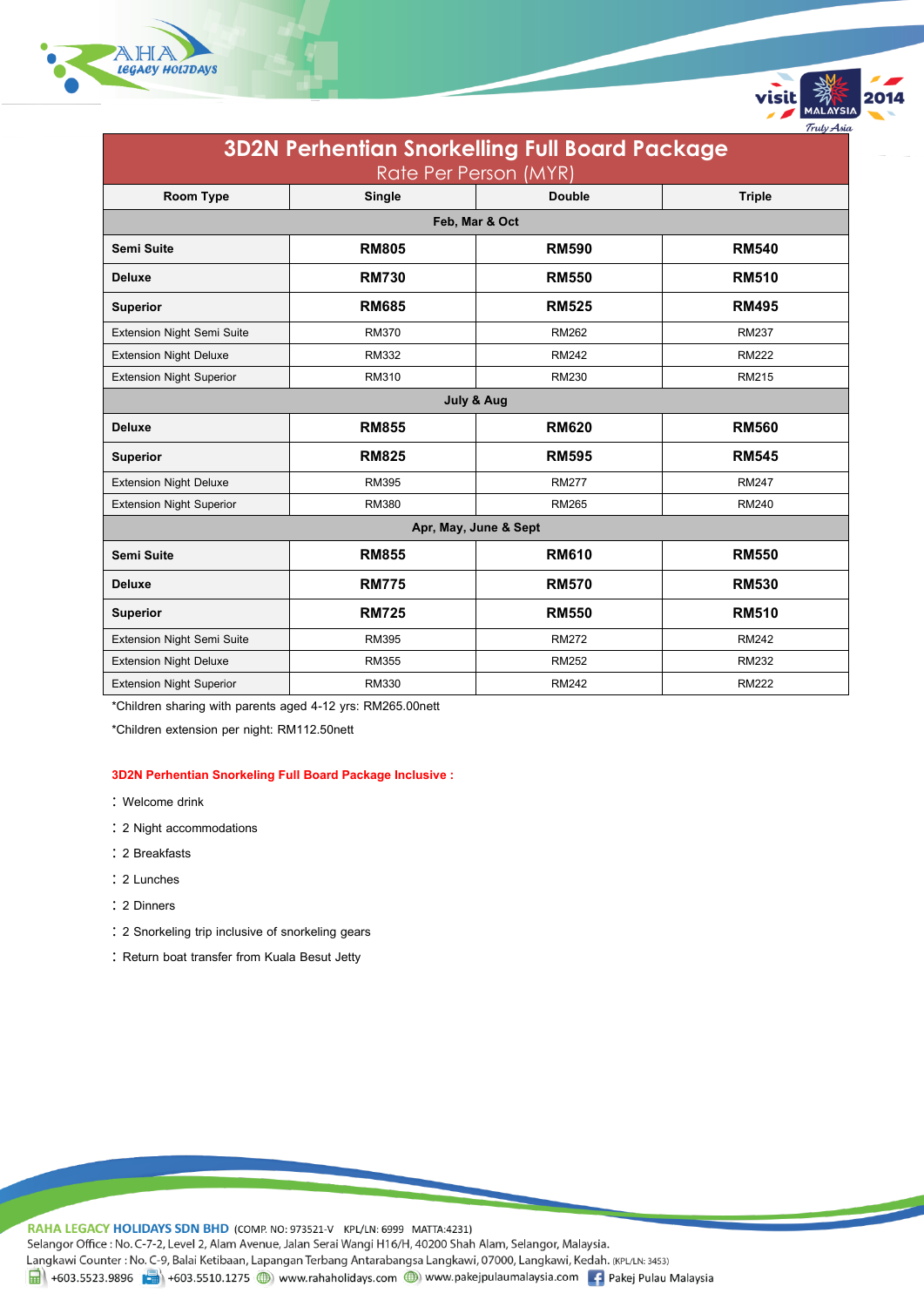



visit

Trulv Asi

\*Children sharing with parents aged 4-12 yrs: RM265.00nett

\*Children extension per night: RM112.50nett

#### **3D2N Perhentian Snorkeling Full Board Package Inclusive :**

- : Welcome drink
- 2 Night accommodations
- 2 Breakfasts
- 2 Lunches
- 2 Dinners
- 2 Snorkeling trip inclusive of snorkeling gears
- : Return boat transfer from Kuala Besut Jetty

RAHA LEGACY HOLIDAYS SDN BHD (COMP. NO: 973521-V KPL/LN: 6999 MATTA:4231) Selangor Office : No. C-7-2, Level 2, Alam Avenue, Jalan Serai Wangi H16/H, 40200 Shah Alam, Selangor, Malaysia. Langkawi Counter: No. C-9, Balai Ketibaan, Lapangan Terbang Antarabangsa Langkawi, 07000, Langkawi, Kedah. (KPL/LN: 3453) 1 +603.5523.9896 + +603.5510.1275 (b) www.rahaholidays.com (b) www.pakejpulaumalaysia.com (f) Pakej Pulau Malaysia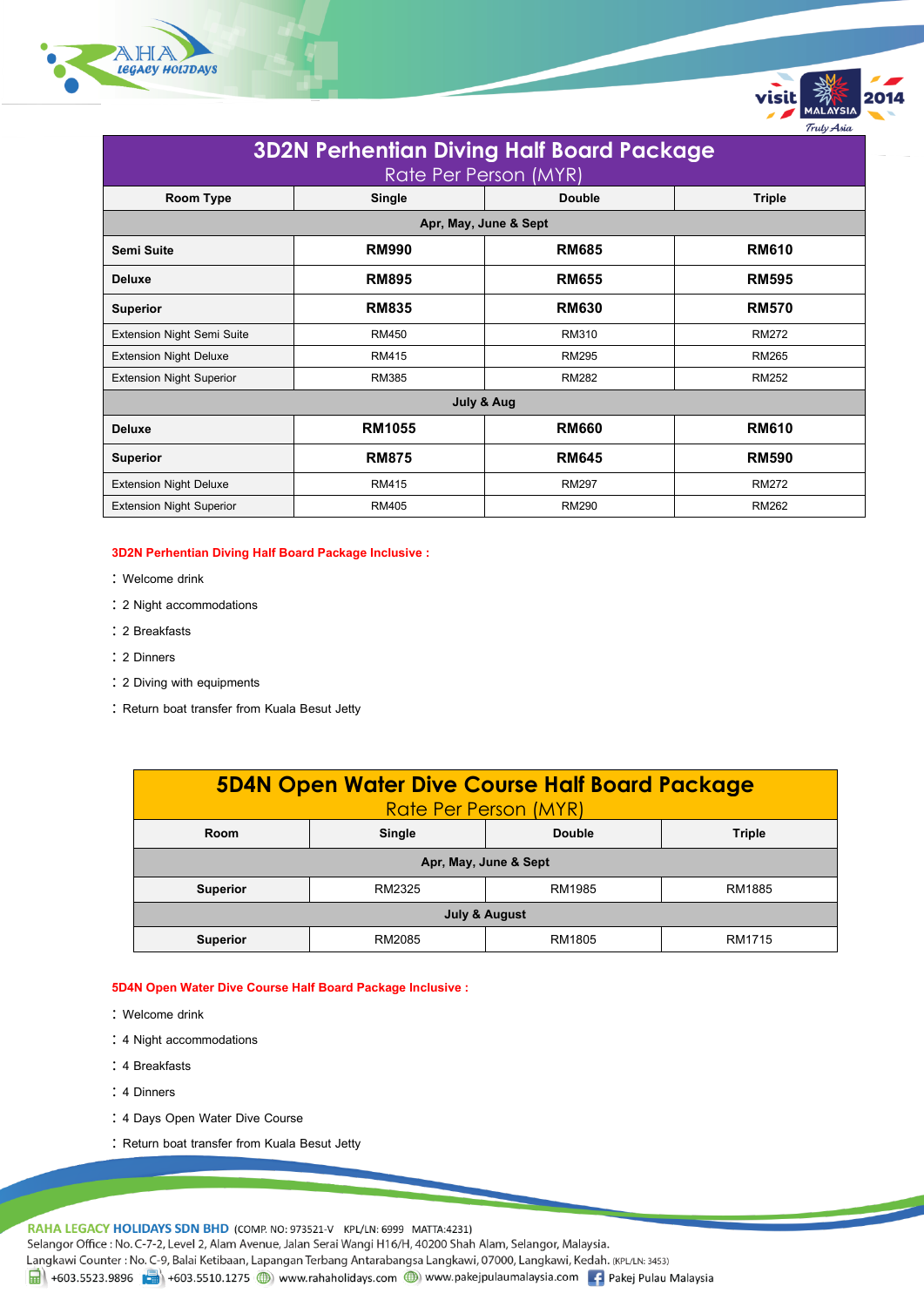

| <b>3D2N Perhentian Diving Half Board Package</b><br>Rate Per Person (MYR) |               |                                |              |  |  |  |  |
|---------------------------------------------------------------------------|---------------|--------------------------------|--------------|--|--|--|--|
| Room Type                                                                 | Single        | <b>Triple</b><br><b>Double</b> |              |  |  |  |  |
| Apr, May, June & Sept                                                     |               |                                |              |  |  |  |  |
| Semi Suite                                                                | <b>RM990</b>  | <b>RM685</b>                   | <b>RM610</b> |  |  |  |  |
| <b>Deluxe</b>                                                             | <b>RM895</b>  | <b>RM655</b>                   | <b>RM595</b> |  |  |  |  |
| <b>Superior</b>                                                           | <b>RM835</b>  | <b>RM630</b>                   | <b>RM570</b> |  |  |  |  |
| Extension Night Semi Suite                                                | RM450         | RM310                          | <b>RM272</b> |  |  |  |  |
| <b>Extension Night Deluxe</b>                                             | <b>RM415</b>  | <b>RM295</b>                   | <b>RM265</b> |  |  |  |  |
| <b>Extension Night Superior</b>                                           | <b>RM385</b>  | <b>RM282</b>                   | <b>RM252</b> |  |  |  |  |
| July & Aug                                                                |               |                                |              |  |  |  |  |
| <b>Deluxe</b>                                                             | <b>RM1055</b> | <b>RM660</b>                   | <b>RM610</b> |  |  |  |  |
| <b>Superior</b>                                                           | <b>RM875</b>  | <b>RM645</b>                   | <b>RM590</b> |  |  |  |  |
| <b>Extension Night Deluxe</b>                                             | RM415         | <b>RM297</b>                   | <b>RM272</b> |  |  |  |  |
| <b>Extension Night Superior</b>                                           | <b>RM405</b>  | <b>RM290</b>                   | <b>RM262</b> |  |  |  |  |

Trulv Asia

### **3D2N Perhentian Diving Half Board Package Inclusive :**

- : Welcome drink
- 2 Night accommodations
- 2 Breakfasts
- 2 Dinners
- 2 Diving with equipments
- : Return boat transfer from Kuala Besut Jetty

| <b>5D4N Open Water Dive Course Half Board Package</b><br>Rate Per Person (MYR) |                         |        |        |  |  |  |
|--------------------------------------------------------------------------------|-------------------------|--------|--------|--|--|--|
| Room                                                                           | Double<br><b>Single</b> |        | Triple |  |  |  |
| Apr, May, June & Sept                                                          |                         |        |        |  |  |  |
| <b>Superior</b>                                                                | RM2325                  | RM1985 | RM1885 |  |  |  |
| July & August                                                                  |                         |        |        |  |  |  |
| <b>Superior</b>                                                                | RM2085                  | RM1805 | RM1715 |  |  |  |

#### **5D4N Open Water Dive Course Half Board Package Inclusive :**

- : Welcome drink
- 4 Night accommodations
- : 4 Breakfasts
- : 4 Dinners
- 4 Days Open Water Dive Course
- : Return boat transfer from Kuala Besut Jetty

RAHA LEGACY HOLIDAYS SDN BHD (COMP. NO: 973521-V KPL/LN: 6999 MATTA:4231)

Selangor Office : No. C-7-2, Level 2, Alam Avenue, Jalan Serai Wangi H16/H, 40200 Shah Alam, Selangor, Malaysia.

Langkawi Counter: No. C-9, Balai Ketibaan, Lapangan Terbang Antarabangsa Langkawi, 07000, Langkawi, Kedah. (KPL/LN: 3453)

1 +603.5523.9896 +603.5510.1275 (b) www.rahaholidays.com (b) www.pakejpulaumalaysia.com + Pakej Pulau Malaysia